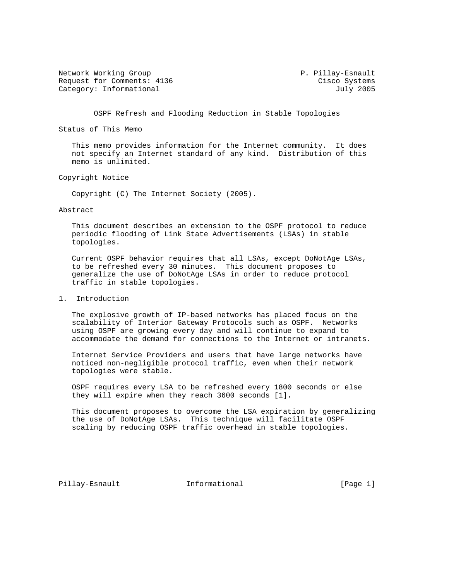Network Working Group **P. Pillay-Esnault** Request for Comments: 4136 Cisco Systems Category: Informational and July 2005

OSPF Refresh and Flooding Reduction in Stable Topologies

Status of This Memo

 This memo provides information for the Internet community. It does not specify an Internet standard of any kind. Distribution of this memo is unlimited.

Copyright Notice

Copyright (C) The Internet Society (2005).

#### Abstract

 This document describes an extension to the OSPF protocol to reduce periodic flooding of Link State Advertisements (LSAs) in stable topologies.

 Current OSPF behavior requires that all LSAs, except DoNotAge LSAs, to be refreshed every 30 minutes. This document proposes to generalize the use of DoNotAge LSAs in order to reduce protocol traffic in stable topologies.

## 1. Introduction

 The explosive growth of IP-based networks has placed focus on the scalability of Interior Gateway Protocols such as OSPF. Networks using OSPF are growing every day and will continue to expand to accommodate the demand for connections to the Internet or intranets.

 Internet Service Providers and users that have large networks have noticed non-negligible protocol traffic, even when their network topologies were stable.

 OSPF requires every LSA to be refreshed every 1800 seconds or else they will expire when they reach 3600 seconds [1].

 This document proposes to overcome the LSA expiration by generalizing the use of DoNotAge LSAs. This technique will facilitate OSPF scaling by reducing OSPF traffic overhead in stable topologies.

Pillay-Esnault 1nformational [Page 1]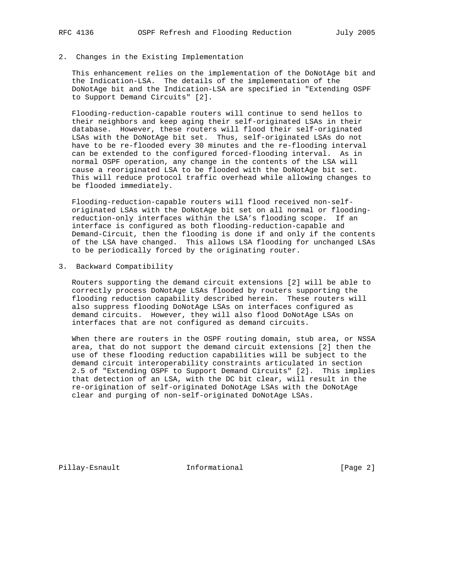## 2. Changes in the Existing Implementation

 This enhancement relies on the implementation of the DoNotAge bit and the Indication-LSA. The details of the implementation of the DoNotAge bit and the Indication-LSA are specified in "Extending OSPF to Support Demand Circuits" [2].

 Flooding-reduction-capable routers will continue to send hellos to their neighbors and keep aging their self-originated LSAs in their database. However, these routers will flood their self-originated LSAs with the DoNotAge bit set. Thus, self-originated LSAs do not have to be re-flooded every 30 minutes and the re-flooding interval can be extended to the configured forced-flooding interval. As in normal OSPF operation, any change in the contents of the LSA will cause a reoriginated LSA to be flooded with the DoNotAge bit set. This will reduce protocol traffic overhead while allowing changes to be flooded immediately.

 Flooding-reduction-capable routers will flood received non-self originated LSAs with the DoNotAge bit set on all normal or flooding reduction-only interfaces within the LSA's flooding scope. If an interface is configured as both flooding-reduction-capable and Demand-Circuit, then the flooding is done if and only if the contents of the LSA have changed. This allows LSA flooding for unchanged LSAs to be periodically forced by the originating router.

#### 3. Backward Compatibility

 Routers supporting the demand circuit extensions [2] will be able to correctly process DoNotAge LSAs flooded by routers supporting the flooding reduction capability described herein. These routers will also suppress flooding DoNotAge LSAs on interfaces configured as demand circuits. However, they will also flood DoNotAge LSAs on interfaces that are not configured as demand circuits.

 When there are routers in the OSPF routing domain, stub area, or NSSA area, that do not support the demand circuit extensions [2] then the use of these flooding reduction capabilities will be subject to the demand circuit interoperability constraints articulated in section 2.5 of "Extending OSPF to Support Demand Circuits" [2]. This implies that detection of an LSA, with the DC bit clear, will result in the re-origination of self-originated DoNotAge LSAs with the DoNotAge clear and purging of non-self-originated DoNotAge LSAs.

Pillay-Esnault 1nformational [Page 2]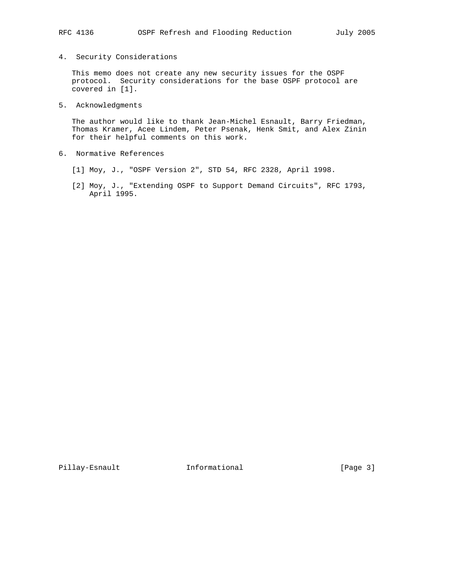# 4. Security Considerations

 This memo does not create any new security issues for the OSPF protocol. Security considerations for the base OSPF protocol are covered in [1].

## 5. Acknowledgments

 The author would like to thank Jean-Michel Esnault, Barry Friedman, Thomas Kramer, Acee Lindem, Peter Psenak, Henk Smit, and Alex Zinin for their helpful comments on this work.

- 6. Normative References
	- [1] Moy, J., "OSPF Version 2", STD 54, RFC 2328, April 1998.
	- [2] Moy, J., "Extending OSPF to Support Demand Circuits", RFC 1793, April 1995.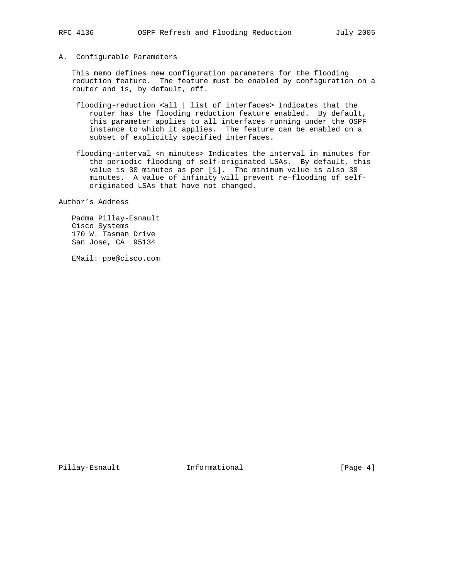A. Configurable Parameters

 This memo defines new configuration parameters for the flooding reduction feature. The feature must be enabled by configuration on a router and is, by default, off.

- flooding-reduction <all | list of interfaces> Indicates that the router has the flooding reduction feature enabled. By default, this parameter applies to all interfaces running under the OSPF instance to which it applies. The feature can be enabled on a subset of explicitly specified interfaces.
- flooding-interval <n minutes> Indicates the interval in minutes for the periodic flooding of self-originated LSAs. By default, this value is 30 minutes as per [1]. The minimum value is also 30 minutes. A value of infinity will prevent re-flooding of self originated LSAs that have not changed.

Author's Address

 Padma Pillay-Esnault Cisco Systems 170 W. Tasman Drive San Jose, CA 95134

EMail: ppe@cisco.com